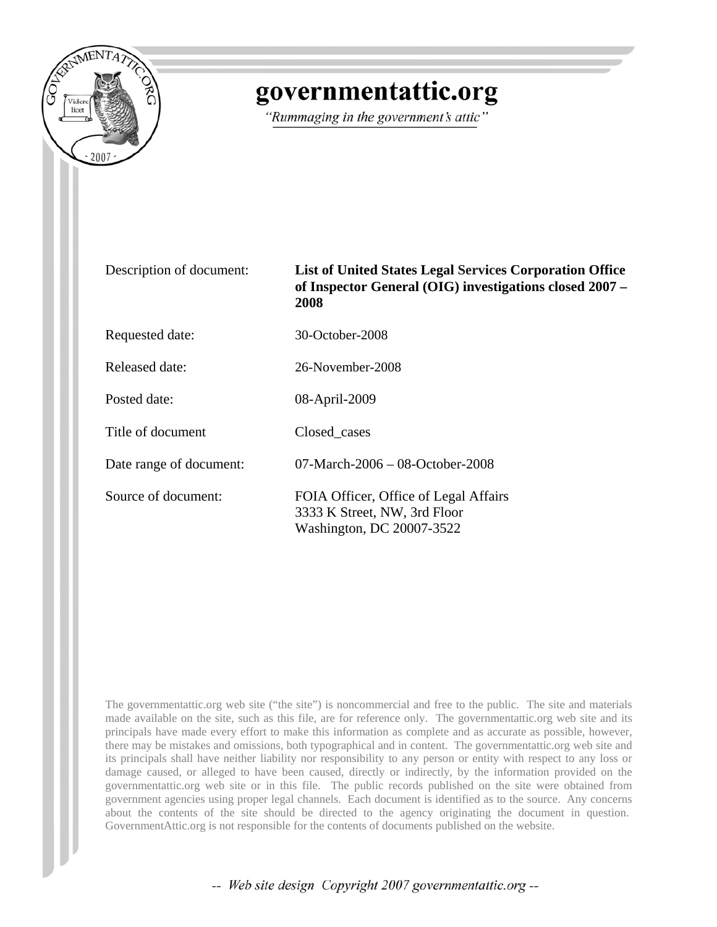

## governmentattic.org

"Rummaging in the government's attic"

Description of document: **List of United States Legal Services Corporation Office of Inspector General (OIG) investigations closed 2007 – 2008**

Requested date: 30-October-2008

Released date: 26-November-2008

Posted date: 08-April-2009

Title of document Closed cases

Date range of document: 07-March-2006 – 08-October-2008

Source of document: FOIA Officer, Office of Legal Affairs 3333 K Street, NW, 3rd Floor Washington, DC 20007-3522

The governmentattic.org web site ("the site") is noncommercial and free to the public. The site and materials made available on the site, such as this file, are for reference only. The governmentattic.org web site and its principals have made every effort to make this information as complete and as accurate as possible, however, there may be mistakes and omissions, both typographical and in content. The governmentattic.org web site and its principals shall have neither liability nor responsibility to any person or entity with respect to any loss or damage caused, or alleged to have been caused, directly or indirectly, by the information provided on the governmentattic.org web site or in this file. The public records published on the site were obtained from government agencies using proper legal channels. Each document is identified as to the source. Any concerns about the contents of the site should be directed to the agency originating the document in question. GovernmentAttic.org is not responsible for the contents of documents published on the website.

-- Web site design Copyright 2007 governmentattic.org --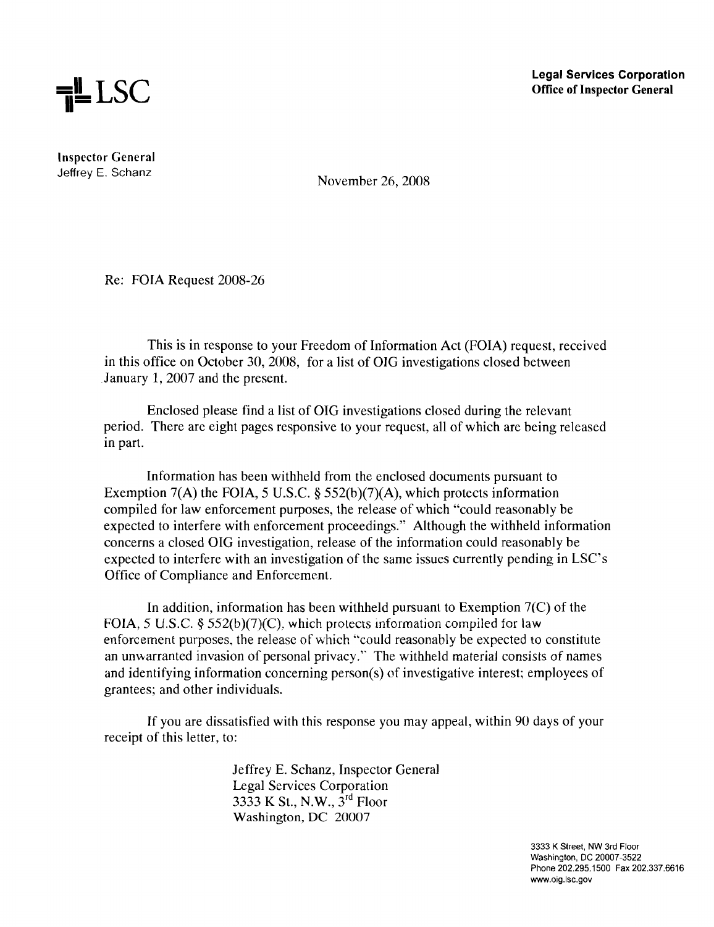

Inspector General Jeffrey E. Schanz

November 26, 2008

Re: FOIA Request 2008-26

This is in response to your Freedom of Information Act (FOIA) request, received in this office on October 30, 2008, for a list of OIG investigations closed between January 1,2007 and the present.

Enclosed please find a list of OIG investigations closed during the relevant period. There are eight pages responsive to your request, all of which are being released in part.

Information has been withheld from the enclosed documents pursuant to Exemption 7(A) the FOIA, 5 U.S.C. § 552(b)(7)(A), which protects information compiled for law enforcement purposes, the release of which "could reasonably be expected to interfere with enforcement proceedings." Although the withheld information concerns a closed OIG investigation, release of the information could reasonably be expected to interfere with an investigation of the same issues currently pending in LSC's Office of Compliance and Enforcement.

In addition, information has been withheld pursuant to Exemption  $7(C)$  of the FOIA, 5 U.S.C.  $\S 552(b)(7)(C)$ , which protects information compiled for law enforcement purposes, the release of which "could reasonably be expected to constitute an unwarranted invasion of personal privacy." The withheld material consists of names and identifying information concerning person(s) of investigative interest; employees of grantees; and other individuals.

If you are dissatisfied with this response you may appeal, within 90 days of your receipt of this letter, to:

> Jeffrey E. Schanz, Inspector General Legal Services Corporation 3333 K St., N.W., 3<sup>rd</sup> Floor Washington, DC 20007

> > 3333 K Street, NW 3rd Floor Washington, DC 20007-3522 Phone 202.295.1500 Fax 202.337.6616 www.oig.lsc.gov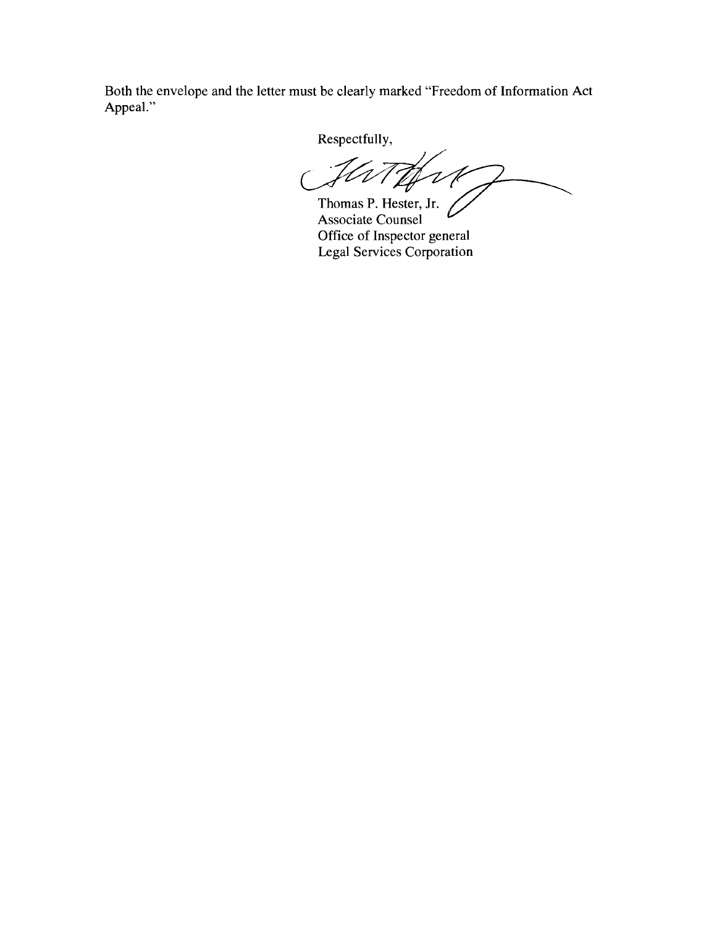Both the envelope and the letter must be clearly marked "Freedom of Information Act Appeal."

Respectfully,

'<br>V

Thomas P. Hester, Jr. Associate Counsel Office of Inspector general Legal Services Corporation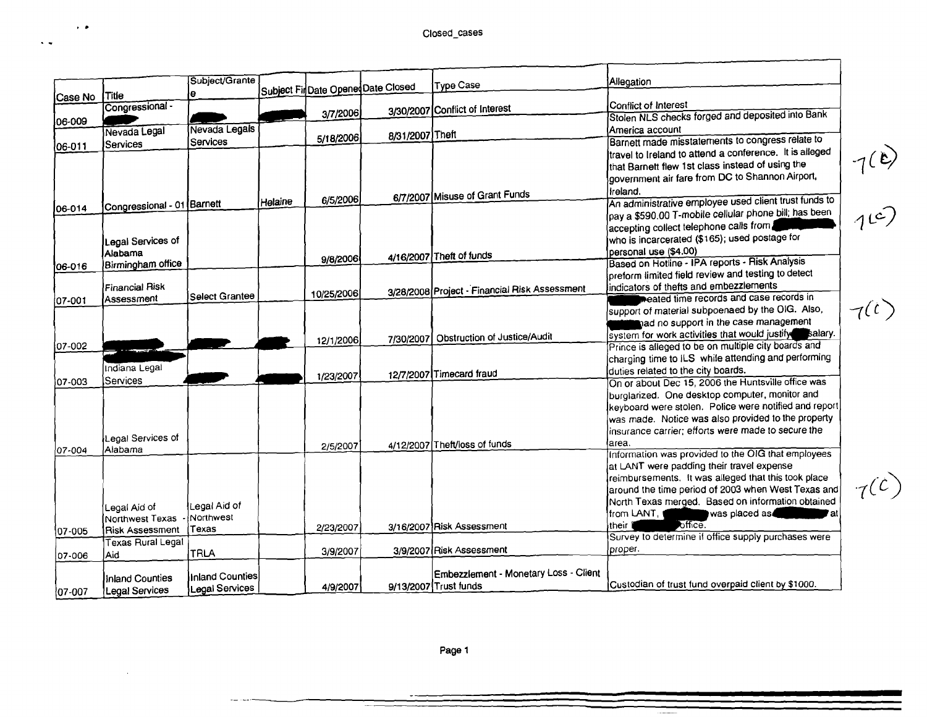$\bar{\mathbf{v}}$   $\bar{\mathbf{w}}$ 

 $\sim$ 

 $-7(2)$ 

 $\tau(c)$ 

|             |                            | Subject/Grante  |                |            | Subject FinDate OpenedDate Closed | <b>Type Case</b>                              | <b>Allegation</b>                                       |          |
|-------------|----------------------------|-----------------|----------------|------------|-----------------------------------|-----------------------------------------------|---------------------------------------------------------|----------|
| Case No     | <b>Title</b>               | e               |                |            |                                   |                                               |                                                         |          |
|             | Congressional -            |                 |                | 3/7/2006   |                                   | 3/30/2007 Conflict of Interest                | Conflict of Interest                                    |          |
| 06-009      |                            |                 |                |            |                                   |                                               | Stolen NLS checks forged and deposited into Bank        |          |
|             | Nevada Legal               | Nevada Legals   |                | 5/18/2006  | 8/31/2007 Theft                   |                                               | America account                                         |          |
| 06-011      | Services                   | Services        |                |            |                                   |                                               | Barnett made misstatements to congress relate to        |          |
|             |                            |                 |                |            |                                   |                                               | travel to Ireland to attend a conference. It is alleged | 7(e)     |
|             |                            |                 |                |            |                                   |                                               | that Barnett flew 1st class instead of using the        |          |
|             |                            |                 |                |            |                                   |                                               | government air fare from DC to Shannon Airport,         |          |
|             |                            |                 |                |            |                                   | 6/7/2007 Misuse of Grant Funds                | Ireland.                                                |          |
| 106-014     | Congressional - 01 Barnett |                 | <b>Helaine</b> | 6/5/2006   |                                   |                                               | An administrative employee used client trust funds to   | $1^{c})$ |
|             |                            |                 |                |            |                                   |                                               | pay a \$590.00 T-mobile cellular phone bill; has been   |          |
|             |                            |                 |                |            |                                   |                                               | accepting collect telephone calls from                  |          |
|             | Legal Services of          |                 |                |            |                                   |                                               | who is incarcerated (\$165); used postage for           |          |
|             | Alabama                    |                 |                |            |                                   | 4/16/2007 Theft of funds                      | personal use (\$4.00)                                   |          |
| 06-016      | Birmingham office          |                 |                | 9/8/2006   |                                   |                                               | Based on Hotline - IPA reports - Risk Analysis          |          |
|             |                            |                 |                |            |                                   |                                               | preform limited field review and testing to detect      |          |
|             | <b>Financial Risk</b>      |                 |                | 10/25/2006 |                                   | 3/28/2008 Project - Financial Risk Assessment | indicators of thefts and embezzlements                  |          |
| 07-001      | Assessment                 | Select Grantee  |                |            |                                   |                                               | reated time records and case records in                 |          |
|             |                            |                 |                |            |                                   |                                               | support of material subpoenaed by the OIG. Also,        | 7(t)     |
|             |                            |                 |                |            |                                   |                                               | nad no support in the case management                   |          |
|             |                            |                 |                | 12/1/2006  | 7/30/2007                         | <b>Obstruction of Justice/Audit</b>           | system for work activities that would justify salary.   |          |
| $ 07-002 $  |                            |                 |                |            |                                   |                                               | Prince is alleged to be on multiple city boards and     |          |
|             |                            |                 |                |            |                                   |                                               | charging time to ILS while attending and performing     |          |
|             | Indiana Legal              |                 |                | 1/23/2007  |                                   | 12/7/2007 Timecard fraud                      | duties related to the city boards.                      |          |
| 107-003     | Services                   |                 |                |            |                                   |                                               | On or about Dec 15, 2006 the Huntsville office was      |          |
|             |                            |                 |                |            |                                   |                                               | burglarized. One desktop computer, monitor and          |          |
|             |                            |                 |                |            |                                   |                                               | keyboard were stolen. Police were notified and report   |          |
|             |                            |                 |                |            |                                   |                                               | was made. Notice was also provided to the property      |          |
|             | Legal Services of          |                 |                |            |                                   |                                               | insurance carrier; efforts were made to secure the      |          |
| 07-004      | Alabama                    |                 |                | 2/5/2007   |                                   | 4/12/2007 Theft/loss of funds                 | area.                                                   |          |
|             |                            |                 |                |            |                                   |                                               | Information was provided to the OIG that employees      |          |
|             |                            |                 |                |            |                                   |                                               | at LANT were padding their travel expense               |          |
|             |                            |                 |                |            |                                   |                                               | reimbursements. It was alleged that this took place     |          |
|             |                            |                 |                |            |                                   |                                               | around the time period of 2003 when West Texas and      | 7(c)     |
|             | Legal Aid of               | Legal Aid of    |                |            |                                   |                                               | North Texas merged. Based on information obtained       |          |
|             | Northwest Texas            | Northwest       |                |            |                                   |                                               | was placed as<br>from LANT,                             |          |
| $107 - 005$ | <b>Risk Assessment</b>     | Texas           |                | 2/23/2007  |                                   | 3/16/2007 Risk Assessment                     | office.<br>their 1                                      |          |
|             | Texas Rural Legal          |                 |                |            |                                   |                                               | Survey to determine if office supply purchases were     |          |
| 07-006      | Aid                        | TRLA            |                | 3/9/2007   |                                   | 3/9/2007 Risk Assessment                      | proper.                                                 |          |
|             |                            |                 |                |            |                                   |                                               |                                                         |          |
|             | Inland Counties            | Inland Counties |                |            |                                   | Embezzlement - Monetary Loss - Client         |                                                         |          |
| 07-007      | Legal Services             | Legal Services  |                | 4/9/2007   |                                   | 9/13/2007 Trust funds                         | Custodian of trust fund overpaid client by \$1000.      |          |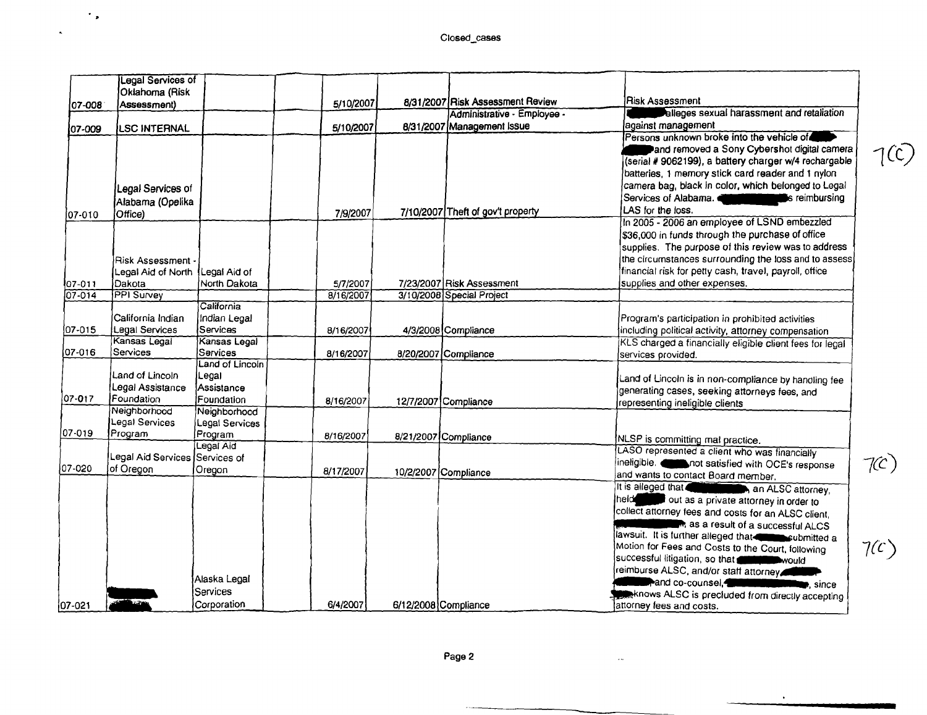$\hat{\mathcal{F}}_{\mathbf{p}}$ 

 $\mathbf{A}$ 

 $1(C)$ 

|            | Legal Services of<br>Oklahoma (Risk                               |                                                      |           |                      |                                   |                                                                                                                                                                                                                                                                                                                                                                                                                                                                                                                                          |            |
|------------|-------------------------------------------------------------------|------------------------------------------------------|-----------|----------------------|-----------------------------------|------------------------------------------------------------------------------------------------------------------------------------------------------------------------------------------------------------------------------------------------------------------------------------------------------------------------------------------------------------------------------------------------------------------------------------------------------------------------------------------------------------------------------------------|------------|
| 07-008     | Assessment)                                                       |                                                      | 5/10/2007 |                      | 8/31/2007 Risk Assessment Review  | <b>Risk Assessment</b>                                                                                                                                                                                                                                                                                                                                                                                                                                                                                                                   |            |
|            |                                                                   |                                                      |           |                      | Administrative - Employee -       | alleges sexual harassment and retaliation                                                                                                                                                                                                                                                                                                                                                                                                                                                                                                |            |
| 07-009     | <b>LSC INTERNAL</b>                                               |                                                      | 5/10/2007 |                      | 8/31/2007 Management Issue        | against management                                                                                                                                                                                                                                                                                                                                                                                                                                                                                                                       |            |
|            |                                                                   |                                                      |           |                      |                                   | Persons unknown broke into the vehicle of<br>and removed a Sony Cybershot digital camera<br>(serial # 9062199), a battery charger w/4 rechargable<br>batteries, 1 memory stick card reader and 1 nylon                                                                                                                                                                                                                                                                                                                                   | 7C         |
|            | Legal Services of                                                 |                                                      |           |                      |                                   | camera bag, black in color, which belonged to Legal                                                                                                                                                                                                                                                                                                                                                                                                                                                                                      |            |
|            | Alabama (Opelika                                                  |                                                      |           |                      |                                   | Services of Alabama.<br><b>EXAMPLE THE SCHOOL SECTIONS</b> reimbursing                                                                                                                                                                                                                                                                                                                                                                                                                                                                   |            |
| 107-010    | Office)                                                           |                                                      | 7/9/2007  |                      | 7/10/2007 Theft of gov't property | LAS for the loss.                                                                                                                                                                                                                                                                                                                                                                                                                                                                                                                        |            |
|            | Risk Assessment -<br>Legal Aid of North Legal Aid of              |                                                      |           |                      |                                   | In 2005 - 2006 an employee of LSND embezzled<br>\$36,000 in funds through the purchase of office<br>supplies. The purpose of this review was to address<br>the circumstances surrounding the loss and to assess<br>financial risk for petty cash, travel, payroll, office                                                                                                                                                                                                                                                                |            |
| 07-011     | lDakota                                                           | North Dakota                                         | 5/7/2007  |                      | 7/23/2007 Risk Assessment         | supplies and other expenses.                                                                                                                                                                                                                                                                                                                                                                                                                                                                                                             |            |
| $07 - 014$ | <b>PPI</b> Survey                                                 |                                                      | 8/16/2007 |                      | 3/10/2008 Special Project         |                                                                                                                                                                                                                                                                                                                                                                                                                                                                                                                                          |            |
| 07-015     | California Indian<br>Legal Services                               | California<br>Indian Legal<br>Services               | 8/16/2007 |                      | 4/3/2008 Compliance               | Program's participation in prohibited activities<br>including political activity, attorney compensation                                                                                                                                                                                                                                                                                                                                                                                                                                  |            |
| 07-016     | Kansas Legal<br>Services                                          | Kansas Legal<br>Services                             | 8/16/2007 |                      | 8/20/2007 Compliance              | KLS charged a financially eligible client fees for legal<br>services provided.                                                                                                                                                                                                                                                                                                                                                                                                                                                           |            |
| 07-017     | Land of Lincoln<br>Legal Assistance<br>Foundation<br>Neighborhood | Land of Lincoln<br>Legal<br>Assistance<br>Foundation | 8/16/2007 |                      | 12/7/2007 Compliance              | Land of Lincoln is in non-compliance by handling fee<br>generating cases, seeking attorneys fees, and<br>representing ineligible clients                                                                                                                                                                                                                                                                                                                                                                                                 |            |
| 07-019     | Legal Services<br>Program                                         | Neighborhood<br>Legal Services<br>(Program           |           |                      |                                   |                                                                                                                                                                                                                                                                                                                                                                                                                                                                                                                                          |            |
|            |                                                                   | Legal Aid                                            | 8/16/2007 |                      | 8/21/2007 Compliance              | NLSP is committing mal practice.                                                                                                                                                                                                                                                                                                                                                                                                                                                                                                         |            |
| 07-020     | Legal Aid Services Services of<br>of Oregon                       | Oregon                                               | 8/17/2007 |                      | 10/2/2007 Compliance              | LASO represented a client who was financially<br>ineligible. <b>Comparent Satisfied with OCE's response</b><br>and wants to contact Board member.                                                                                                                                                                                                                                                                                                                                                                                        | 7C)        |
|            |                                                                   | Alaska Legal<br><b>Services</b>                      |           |                      |                                   | It is alleged that <b>Contract to the ALSC</b> attorney<br>Ineide<br>out as a private attorney in order to<br>collect attorney fees and costs for an ALSC client,<br>R, as a result of a successful ALCS<br>lawsuit. It is further alleged that <b>the manufacturer of a</b><br>Motion for Fees and Costs to the Court, following<br>successful litigation, so that <b>complete</b> would<br>reimburse ALSC, and/or staff attorney<br><b>Repared co-counsel,</b><br><b>Exercising</b><br>knows ALSC is precluded from directly accepting | $7(\zeta)$ |
| 07-021     |                                                                   | Corporation                                          | 6/4/2007  | 6/12/2008 Compliance |                                   | attorney fees and costs.                                                                                                                                                                                                                                                                                                                                                                                                                                                                                                                 |            |

 $\sim$   $\sim$ 

 $\bullet$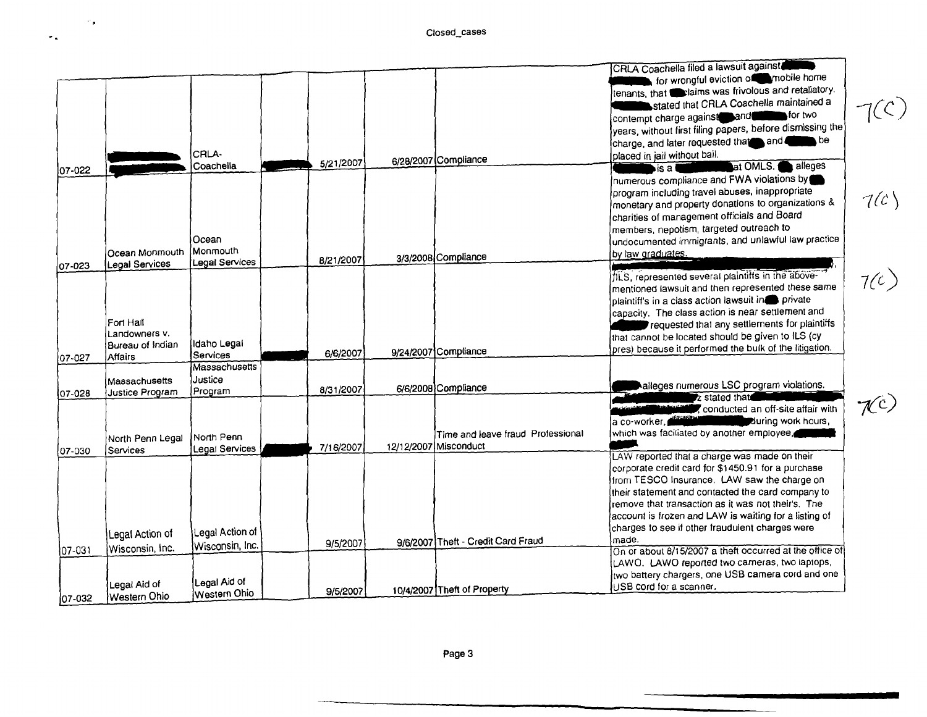$\star$  .

|             |                  |                      |           |                                    | CRLA Coachella filed a lawsuit against                    |      |
|-------------|------------------|----------------------|-----------|------------------------------------|-----------------------------------------------------------|------|
|             |                  |                      |           |                                    | for wrongful eviction of mobile home                      |      |
|             |                  |                      |           |                                    | tenants, that estaims was frivolous and retaliatory.      |      |
|             |                  |                      |           |                                    | stated that CRLA Coachella maintained a                   |      |
|             |                  |                      |           |                                    | contempt charge against and <b>the for two</b>            | 7(C) |
|             |                  |                      |           |                                    | years, without first filing papers, before dismissing the |      |
|             |                  |                      |           |                                    | charge, and later requested that and and be               |      |
|             |                  | CRLA-                |           |                                    | placed in jail without bail.                              |      |
|             |                  | Coachella            | 5/21/2007 | 6/28/2007 Compliance               | at OMLS.<br>alleges<br>$\blacksquare$ is a t              |      |
| 07-022      |                  |                      |           |                                    | numerous compliance and FWA violations by                 |      |
|             |                  |                      |           |                                    | program including travel abuses, inappropriate            |      |
|             |                  |                      |           |                                    | monetary and property donations to organizations &        | 7(c) |
|             |                  |                      |           |                                    | charities of management officials and Board               |      |
|             |                  |                      |           |                                    | members, nepotism, targeted outreach to                   |      |
|             |                  | Ocean                |           |                                    | undocumented immigrants, and unlawful law practice        |      |
|             | Ocean Monmouth   | <b>IMonmouth</b>     |           |                                    |                                                           |      |
|             | Legal Services   | Legal Services       | 8/21/2007 | 3/3/2008 Compliance                | by law graduates.                                         |      |
| 07-023      |                  |                      |           |                                    | ILS, represented several plaintiffs in the above-         |      |
|             |                  |                      |           |                                    | mentioned lawsuit and then represented these same         | 7(c) |
|             |                  |                      |           |                                    | plaintiff's in a class action lawsuit in private          |      |
|             |                  |                      |           |                                    | capacity. The class action is near settlement and         |      |
|             | Fort Hall        |                      |           |                                    | requested that any settlements for plaintiffs             |      |
|             | Landowners V.    |                      |           |                                    | that cannot be located should be given to ILS (cy         |      |
|             | Bureau of Indian | Ildaho Legai         |           |                                    | pres) because it performed the bulk of the litigation.    |      |
| 07-027      | <b>Affairs</b>   | Services             | 6/6/2007  | 9/24/2007 Compliance               |                                                           |      |
|             |                  | <b>Massachusetts</b> |           |                                    |                                                           |      |
|             | Massachusetts    | Justice              |           |                                    | alleges numerous LSC program violations.                  |      |
| 07-028      | Justice Program  | Program              | 8/31/2007 | 6/6/2008 Compliance                | z stated that                                             |      |
|             |                  |                      |           |                                    | conducted an off-site affair with                         | KC)  |
|             |                  |                      |           |                                    | a co-worker, from the buring work hours,                  |      |
|             |                  | North Penn           |           | Time and leave fraud Professional  | which was faciliated by another employee,                 |      |
|             | North Penn Legal | Legal Services       | 7/16/2007 | 12/12/2007 Misconduct              |                                                           |      |
| 07-030      | Services         |                      |           |                                    | LAW reported that a charge was made on their              |      |
|             |                  |                      |           |                                    | corporate credit card for \$1450.91 for a purchase        |      |
|             |                  |                      |           |                                    | from TESCO Insurance. LAW saw the charge on               |      |
|             |                  |                      |           |                                    | their statement and contacted the card company to         |      |
|             |                  |                      |           |                                    | remove that transaction as it was not their's. The        |      |
|             |                  |                      |           |                                    | account is frozen and LAW is waiting for a listing of     |      |
|             |                  | Legal Action of      |           |                                    | charges to see if other fraudulent charges were           |      |
|             | Legal Action of  | Wisconsin, Inc.      | 9/5/2007  | 9/6/2007 Theft - Credit Card Fraud | made.                                                     |      |
| $ 07 - 031$ | Wisconsin, Inc.  |                      |           |                                    | On or about 8/15/2007 a theft occurred at the office of   |      |
|             |                  |                      |           |                                    | LAWO. LAWO reported two carneras, two laptops,            |      |
|             |                  | Legal Aid of         |           |                                    | two battery chargers, one USB camera cord and one         |      |
|             | Legal Aid of     | Western Ohio         | 9/5/2007  | 10/4/2007 Theft of Property        | USB cord for a scanner.                                   |      |
| 07-032      | Western Ohio     |                      |           |                                    |                                                           |      |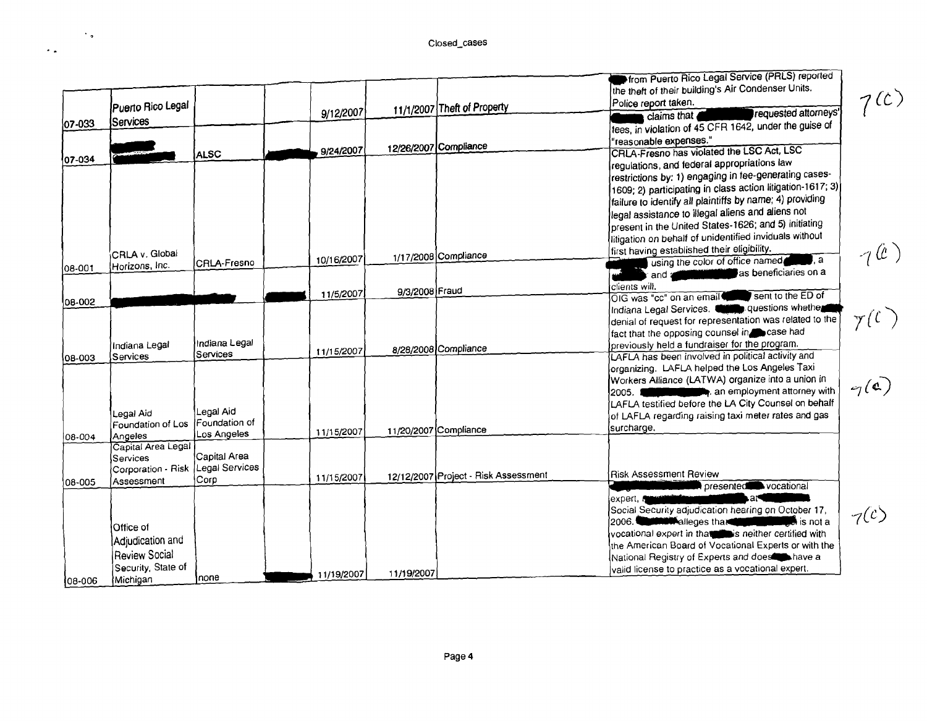$\langle \cdot \rangle_{\sigma}$ 

 $\sim$  .

|         | Puerto Rico Legal                |                             | 9/12/2007  |                       | 11/1/2007 Theft of Property          | <b>Pfrom Puerto Rico Legal Service (PRLS) reported</b><br>the theft of their building's Air Condenser Units.<br>Police report taken.<br>requested attorneys'<br>claims that                                                          | 7 <sup>(c)</sup> |
|---------|----------------------------------|-----------------------------|------------|-----------------------|--------------------------------------|--------------------------------------------------------------------------------------------------------------------------------------------------------------------------------------------------------------------------------------|------------------|
| 07-033  | <b>Services</b>                  |                             |            |                       |                                      | fees, in violation of 45 CFR 1642, under the guise of                                                                                                                                                                                |                  |
|         |                                  |                             | 9/24/2007  |                       | 12/26/2007 Compliance                | "reasonable expenses."                                                                                                                                                                                                               |                  |
| 07-034  |                                  | <b>ALSC</b>                 |            |                       |                                      | CRLA-Fresno has violated the LSC Act, LSC                                                                                                                                                                                            |                  |
|         |                                  |                             |            |                       |                                      | regulations, and federal appropriations law<br>restrictions by: 1) engaging in fee-generating cases-                                                                                                                                 |                  |
|         |                                  |                             |            |                       |                                      | $\left[1609; 2\right)$ participating in class action litigation-1617; 3)                                                                                                                                                             |                  |
|         |                                  |                             |            |                       |                                      | failure to identify all plaintiffs by name; 4) providing                                                                                                                                                                             |                  |
|         |                                  |                             |            |                       |                                      | legal assistance to illegal aliens and aliens not                                                                                                                                                                                    |                  |
|         |                                  |                             |            |                       |                                      | present in the United States-1626; and 5) initiating                                                                                                                                                                                 |                  |
|         |                                  |                             |            |                       |                                      | litigation on behalf of unidentified inviduals without                                                                                                                                                                               |                  |
|         | CRLA v. Global                   |                             |            |                       |                                      | first having established their eligibility.                                                                                                                                                                                          | $\neg$ (c)       |
|         | Horizons, Inc.                   | CRLA-Fresno                 | 10/16/2007 |                       | 1/17/2008 Compliance                 | using the color of office named<br><b>,</b> a                                                                                                                                                                                        |                  |
| 08-001  |                                  |                             |            |                       |                                      | as beneficiaries on a<br>and a                                                                                                                                                                                                       |                  |
|         |                                  |                             |            | 9/3/2008 Fraud        |                                      | clients will.                                                                                                                                                                                                                        |                  |
| 108-002 |                                  |                             | 11/5/2007  |                       |                                      | sent to the ED of<br>OIG was "cc" on an email                                                                                                                                                                                        |                  |
|         |                                  |                             |            |                       |                                      | Indiana Legal Services. <b>Common questions whether</b>                                                                                                                                                                              |                  |
|         |                                  |                             |            |                       |                                      | denial of request for representation was related to the                                                                                                                                                                              | $\gamma(\ell)$   |
|         |                                  | IIndiana Legal              |            |                       |                                      | fact that the opposing counsel in case had<br>previously held a fundraiser for the program.                                                                                                                                          |                  |
| 08-003  | Indiana Legal<br><b>Services</b> | Services                    | 11/15/2007 |                       | 8/28/2008 Compliance                 | LAFLA has been involved in political activity and                                                                                                                                                                                    |                  |
|         |                                  |                             |            |                       |                                      | organizing. LAFLA helped the Los Angeles Taxi                                                                                                                                                                                        |                  |
|         |                                  |                             |            |                       |                                      | Workers Alliance (LATWA) organize into a union in                                                                                                                                                                                    |                  |
|         |                                  |                             |            |                       |                                      | an employment attorney with<br>2005. ∎                                                                                                                                                                                               | $q(\mathbf{c})$  |
|         |                                  |                             |            |                       |                                      | LAFLA testified before the LA City Counsel on behalf                                                                                                                                                                                 |                  |
|         | Legal Aid                        | Legal Aid!<br>Foundation of |            |                       |                                      | of LAFLA regarding raising taxi meter rates and gas                                                                                                                                                                                  |                  |
|         | Foundation of Los<br>Angeles     | Los Angeles                 | 11/15/2007 | 11/20/2007 Compliance |                                      | surcharge.                                                                                                                                                                                                                           |                  |
| 108-004 | Capital Area Legal               |                             |            |                       |                                      |                                                                                                                                                                                                                                      |                  |
|         | Services                         | Capital Area                |            |                       |                                      |                                                                                                                                                                                                                                      |                  |
|         | Corporation - Risk               | Legal Services              |            |                       |                                      | <b>Risk Assessment Review</b>                                                                                                                                                                                                        |                  |
| 08-005  | Assessment                       | Corp                        | 11/15/2007 |                       | 12/12/2007 Project - Risk Assessment | presented vocational                                                                                                                                                                                                                 |                  |
|         |                                  |                             |            |                       |                                      | ۵۴<br>lexpert, A                                                                                                                                                                                                                     |                  |
|         |                                  |                             |            |                       |                                      | Social Security adjudication hearing on October 17,                                                                                                                                                                                  |                  |
|         | Office of                        |                             |            |                       |                                      | 2006. <b>Committee of the Committee of the Committee of the Committee of the Committee of the Committee of the Committee of the Committee of the Committee of the Committee of the Committee of the Committee of the Committee o</b> | 7 <sup>(c)</sup> |
|         |                                  |                             |            |                       |                                      | vocational expert in that is neither certified with                                                                                                                                                                                  |                  |
|         | Adjudication and                 |                             |            |                       |                                      | the American Board of Vocational Experts or with the                                                                                                                                                                                 |                  |
|         | Review Social                    |                             |            |                       |                                      | National Registry of Experts and does have a                                                                                                                                                                                         |                  |
|         | Security, State of               | none                        | 11/19/2007 | 11/19/2007            |                                      | valid license to practice as a vocational expert.                                                                                                                                                                                    |                  |
| 108-006 | Michigan                         |                             |            |                       |                                      |                                                                                                                                                                                                                                      |                  |

 $7^{(c)}$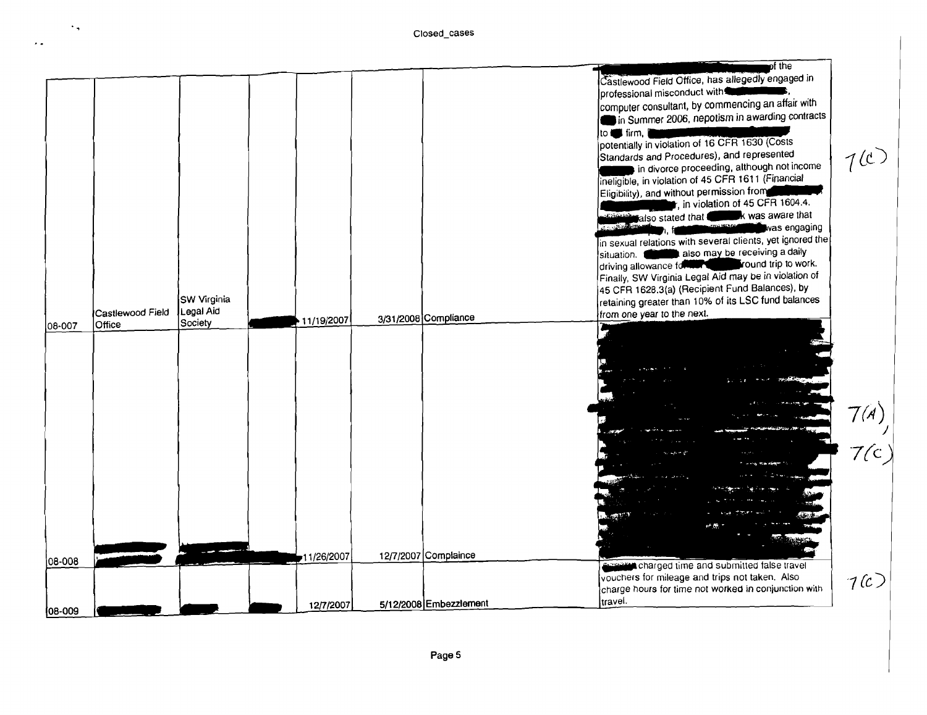$\cdot$  ,

 $\epsilon$  .

|              |                                    |                                     |            |                        | pt the                                                                                                                                                                                                                                                                                                                                                                                                                                                                                                                                                                                                                                                                                                      |      |
|--------------|------------------------------------|-------------------------------------|------------|------------------------|-------------------------------------------------------------------------------------------------------------------------------------------------------------------------------------------------------------------------------------------------------------------------------------------------------------------------------------------------------------------------------------------------------------------------------------------------------------------------------------------------------------------------------------------------------------------------------------------------------------------------------------------------------------------------------------------------------------|------|
|              |                                    |                                     |            |                        | Castlewood Field Office, has allegedly engaged in<br>professional misconduct with<br>computer consultant, by commencing an affair with<br>in Summer 2006, nepotism in awarding contracts<br>to to firm,<br>potentially in violation of 16 CFR 1630 (Costs<br>Standards and Procedures), and represented<br>in divorce proceeding, although not income<br>ineligible, in violation of 45 CFR 1611 (Financial<br>Eligibility), and without permission from<br>$\mathsf t$ , in violation of 45 CFR 1604.4.<br>k was aware that<br>different also stated that<br>was engaging<br><b>TORING COM</b><br>in sexual relations with several clients, yet ignored the<br>also may be receiving a daily<br>situation. | 7(1) |
| 08-007       | Castlewood Field<br><b>O</b> ffice | SW Virginia<br>Legal Aid<br>Society | 11/19/2007 | 3/31/2008 Compliance   | round trip to work.<br>driving allowance for the state<br>Finally, SW Virginia Legal Aid may be in violation of<br>45 CFR 1628.3(a) (Recipient Fund Balances), by<br>retaining greater than 10% of its LSC fund balances<br>from one year to the next.                                                                                                                                                                                                                                                                                                                                                                                                                                                      |      |
|              |                                    |                                     |            |                        |                                                                                                                                                                                                                                                                                                                                                                                                                                                                                                                                                                                                                                                                                                             |      |
|              |                                    |                                     |            |                        |                                                                                                                                                                                                                                                                                                                                                                                                                                                                                                                                                                                                                                                                                                             | 7(A) |
|              |                                    |                                     |            |                        |                                                                                                                                                                                                                                                                                                                                                                                                                                                                                                                                                                                                                                                                                                             | 7/c  |
|              |                                    |                                     |            |                        |                                                                                                                                                                                                                                                                                                                                                                                                                                                                                                                                                                                                                                                                                                             |      |
| 08-008       |                                    |                                     | 11/26/2007 | 12/7/2007 Complaince   | charged time and submitted false travel                                                                                                                                                                                                                                                                                                                                                                                                                                                                                                                                                                                                                                                                     |      |
|              |                                    |                                     |            |                        | vouchers for mileage and trips not taken. Also<br>charge hours for time not worked in conjunction with<br>travel.                                                                                                                                                                                                                                                                                                                                                                                                                                                                                                                                                                                           | 7(c) |
| $ 08 - 009 $ |                                    |                                     | 12/7/2007  | 5/12/2008 Embezzlement |                                                                                                                                                                                                                                                                                                                                                                                                                                                                                                                                                                                                                                                                                                             |      |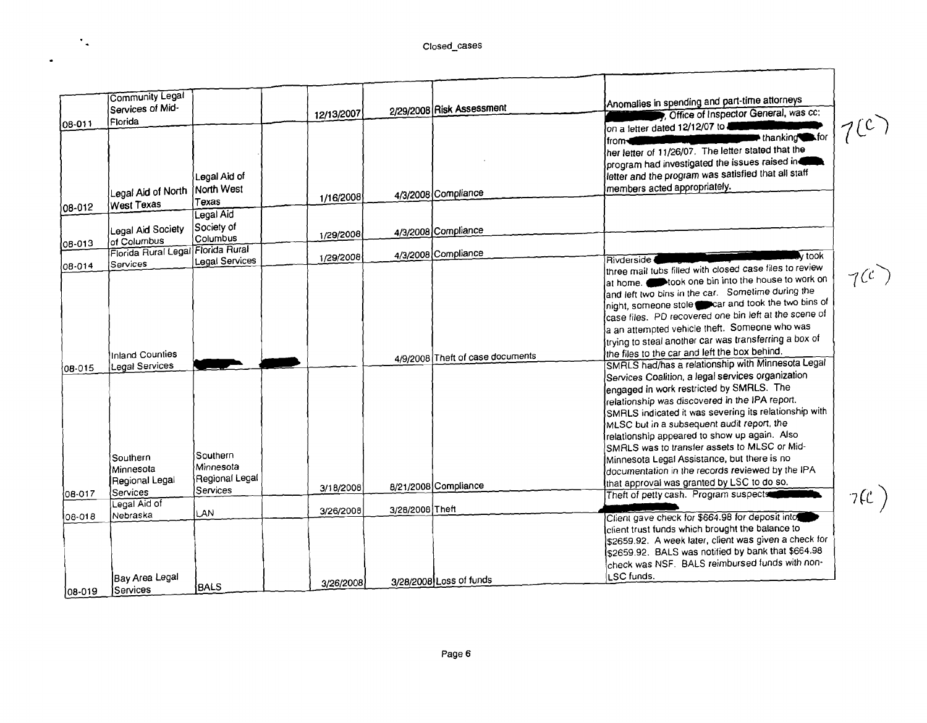$\mathcal{F}_{\mathbf{q}}$ 

 $\bullet$ 

|                  | Community Legal<br>Services of Mid-                                    |                                                     | 12/13/2007 |                 | 2/29/2008 Risk Assessment        | Anomalies in spending and part-time attorneys<br>, Office of Inspector General, was cc:                                                                                                                                                                                                                                                                                                                                                                                                                                                                                                                |           |
|------------------|------------------------------------------------------------------------|-----------------------------------------------------|------------|-----------------|----------------------------------|--------------------------------------------------------------------------------------------------------------------------------------------------------------------------------------------------------------------------------------------------------------------------------------------------------------------------------------------------------------------------------------------------------------------------------------------------------------------------------------------------------------------------------------------------------------------------------------------------------|-----------|
| 08-011           | Í Florida<br>Legal Aid of North                                        | Legal Aid of<br>North West                          |            |                 | 4/3/2008 Compliance              | on a letter dated 12/12/07 to<br>$\blacksquare$ thanking $\blacksquare$ for<br>from-<br>her letter of 11/26/07. The letter stated that the<br>program had investigated the issues raised in<br>letter and the program was satisfied that all staff<br>members acted appropriately.                                                                                                                                                                                                                                                                                                                     | 700       |
| $08 - 012$       | <b>West Texas</b>                                                      | Texas                                               | 1/16/2008  |                 |                                  |                                                                                                                                                                                                                                                                                                                                                                                                                                                                                                                                                                                                        |           |
| 08-013           | Legal Aid Society<br>of Columbus                                       | Legal Aid<br>Society of<br>∫Columbus                | 1/29/2008  |                 | 4/3/2008 Compliance              |                                                                                                                                                                                                                                                                                                                                                                                                                                                                                                                                                                                                        |           |
|                  | Florida Rural Legal Florida Rural                                      |                                                     | 1/29/2008  |                 | 4/3/2008 Compliance              | lv took.<br>Rivderside (                                                                                                                                                                                                                                                                                                                                                                                                                                                                                                                                                                               |           |
| 108-014          | Services<br>Inland Counties                                            | <b>Legal Services</b>                               |            |                 | 4/9/2008 Theft of case documents | three mail tubs filled with closed case files to review<br>at home. stook one bin into the house to work on<br>and left two bins in the car. Sometime during the<br>Inight, someone stole concar and took the two bins of<br>case files. PD recovered one bin left at the scene of<br>a an attempted vehicle theft. Someone who was<br>trying to steal another car was transferring a box of<br>the files to the car and left the box behind.                                                                                                                                                          | $7^{(c)}$ |
| 08-015<br>08-017 | Legal Services<br>Southern<br>lMinnesota<br>Regional Legal<br>Services | Southern<br>Minnesota<br>Regional Legal<br>Services | 3/18/2008  |                 | 8/21/2008 Compliance             | SMRLS had/has a relationship with Minnesota Legal<br>Services Coalition, a legal services organization<br>lengaged in work restricted by SMRLS. The<br>relationship was discovered in the IPA report.<br>SMRLS indicated it was severing its relationship with<br>MLSC but in a subsequent audit report, the<br>relationship appeared to show up again. Also<br>SMRLS was to transfer assets to MLSC or Mid-<br>Minnesota Legal Assistance, but there is no<br>documentation in the records reviewed by the IPA<br>that approval was granted by LSC to do so.<br>Theft of petty cash. Program suspects |           |
|                  | Legal Aid of                                                           | LAN                                                 | 3/26/2008  | 3/28/2008 Theft |                                  |                                                                                                                                                                                                                                                                                                                                                                                                                                                                                                                                                                                                        | 7(C)      |
| 108-018          | Nebraska<br><b>Bay Area Legal</b>                                      |                                                     | 3/26/2008  |                 | 3/28/2008 Loss of funds          | Client gave check for \$664.98 for deposit into<br>client trust funds which brought the balance to<br>\$2659.92. A week later, client was given a check for<br>\$2659.92. BALS was notified by bank that \$664.98<br>check was NSF. BALS reimbursed funds with non-<br>LSC funds.                                                                                                                                                                                                                                                                                                                      |           |
| 08-019           | Services                                                               | <b>BALS</b>                                         |            |                 |                                  |                                                                                                                                                                                                                                                                                                                                                                                                                                                                                                                                                                                                        |           |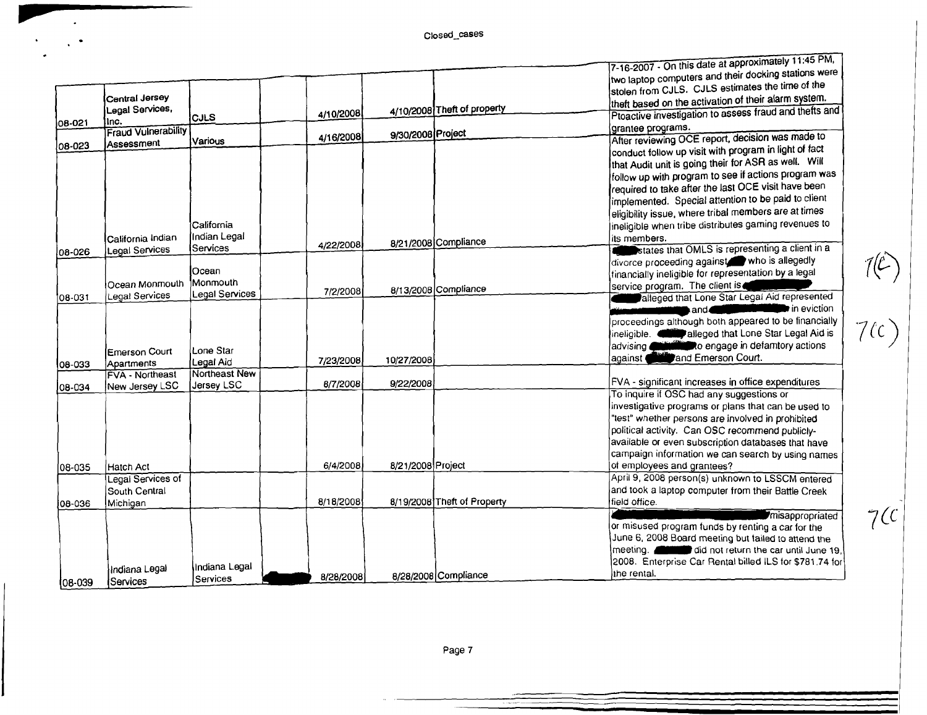**11".** 

 $\frac{1}{2} \frac{1}{2} \frac{1}{2}$  ,  $\frac{1}{2}$ 

|         |                            |                        |           |                   |                             | $7-16-2007 -$ On this date at approximately Figure Five.            |
|---------|----------------------------|------------------------|-----------|-------------------|-----------------------------|---------------------------------------------------------------------|
|         |                            |                        |           |                   |                             | two laptop computers and their docking stations were                |
|         |                            |                        |           |                   |                             | stolen from CJLS. CJLS estimates the time of the                    |
|         | Central Jersey             |                        |           |                   |                             | theft based on the activation of their alarm system.                |
|         | Legal Services,            | <b>CJLS</b>            | 4/10/2008 |                   | 4/10/2008 Theft of property | Ptoactive investigation to assess fraud and thefts and              |
| 08-021  | Inc.                       |                        |           |                   |                             | grantee programs.                                                   |
|         | <b>Fraud Vulnerability</b> |                        | 4/16/2008 | 9/30/2008 Project |                             | After reviewing OCE report, decision was made to                    |
| 08-023  | Assessment                 | Various                |           |                   |                             | conduct follow up visit with program in light of fact               |
|         |                            |                        |           |                   |                             | that Audit unit is going their for ASR as well. Will                |
|         |                            |                        |           |                   |                             | follow up with program to see if actions program was                |
|         |                            |                        |           |                   |                             | required to take after the last OCE visit have been                 |
|         |                            |                        |           |                   |                             |                                                                     |
|         |                            |                        |           |                   |                             | implemented. Special attention to be paid to client                 |
|         |                            |                        |           |                   |                             | eligibility issue, where tribal members are at times                |
|         |                            | California             |           |                   |                             | ineligible when tribe distributes gaming revenues to                |
|         | California Indian          | Indian Legal           |           |                   | 8/21/2008 Compliance        | lits members.                                                       |
| 08-026  | Legal Services             | Services               | 4/22/2008 |                   |                             | states that OMLS is representing a client in a                      |
|         |                            |                        |           |                   |                             | divorce proceeding against who is allegedly                         |
|         |                            | Ocean                  |           |                   |                             | financially ineligible for representation by a legal                |
|         | Ocean Monmouth             | Monmouth               | 7/2/2008  |                   | 8/13/2008 Compliance        | service program. The client is                                      |
| 08-031  | Legal Services             | Legal Services         |           |                   |                             | alleged that Lone Star Legal Aid represented                        |
|         |                            |                        |           |                   |                             | $\blacktriangleright$ in eviction<br>and<br>a sa Tanzania           |
|         |                            |                        |           |                   |                             | proceedings although both appeared to be financially                |
|         |                            |                        |           |                   |                             | ineligible. alleged that Lone Star Legal Aid is                     |
|         |                            |                        |           |                   |                             | advising <b>Committee</b> to engage in defamtory actions            |
|         | <b>Emerson Court</b>       | Lone Star<br>Legal Aid | 7/23/2008 | 10/27/2008        |                             | against and Emerson Court.                                          |
| 108-033 | Apartments                 | Northeast New          |           |                   |                             |                                                                     |
|         | <b>FVA - Northeast</b>     |                        | 8/7/2008  | 9/22/2008         |                             | FVA - significant increases in office expenditures                  |
| 08-034  | New Jersey LSC             | Jersey LSC             |           |                   |                             | To inquire if OSC had any suggestions or                            |
|         |                            |                        |           |                   |                             | investigative programs or plans that can be used to                 |
|         |                            |                        |           |                   |                             | "test" whether persons are involved in prohibited                   |
|         |                            |                        |           |                   |                             | political activity. Can OSC recommend publicly-                     |
|         |                            |                        |           |                   |                             | available or even subscription databases that have                  |
|         |                            |                        |           |                   |                             | campaign information we can search by using names                   |
|         |                            |                        | 6/4/2008  | 8/21/2008 Project |                             | of employees and grantees?                                          |
| 108-035 | Hatch Act                  |                        |           |                   |                             | April 9, 2008 person(s) unknown to LSSCM entered                    |
|         | Legal Services of          |                        |           |                   |                             |                                                                     |
|         | South Central              |                        |           |                   |                             | and took a laptop computer from their Battle Creek<br>field office. |
| 36-901  | Michigan                   |                        | 8/18/2008 |                   | 8/19/2008 Theft of Property |                                                                     |
|         |                            |                        |           |                   |                             | <i><b>Imisappropriated</b></i>                                      |
|         |                            |                        |           |                   |                             | or misused program funds by renting a car for the                   |
|         |                            |                        |           |                   |                             | June 6, 2008 Board meeting but failed to attend the                 |
|         |                            |                        |           |                   |                             | meeting. did not return the car until June 19.                      |
|         | Indiana Legal              | lindiana Legal         |           |                   |                             | 2008. Enterprise Car Rental billed ILS for \$781.74 for             |
| 08-039  | Services                   | Services               | 8/28/2008 |                   | 8/28/2008 Compliance        | the rental.                                                         |
|         |                            |                        |           |                   |                             |                                                                     |

 $(\nabla)$ 

 $7(c)$ 

*7{C*